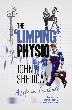

THE

**Gary Mabbutt MBE**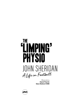# **THE IMPING'**  $\blacksquare$ PHYSIO JOHN SHERIDAN A Life in Football

Forewords by David Pleat & **Gary Mabbutt MBE** 

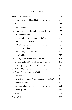## **Contents**

| 2. From Production Line to Professional Football 27      |
|----------------------------------------------------------|
|                                                          |
| 4. Surgeons, Injuries and Professor Smillie 53           |
|                                                          |
|                                                          |
|                                                          |
| 8. Paul Gascoigne and that Free Kick 107                 |
|                                                          |
| 10. The Fightback Begins and Fishy Tales 123             |
| 11. Disaster and the Fightback Begins Again. 135         |
| 12. The Beginning of the End at Tottenham 148            |
|                                                          |
| 14. Stories from Around the World 168                    |
|                                                          |
| 16. Injury Management, Assessment and Rehabilitation 188 |
| 17.                                                      |
|                                                          |
|                                                          |
|                                                          |
|                                                          |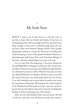## 1 My Early Years

WHAT I want to do in this book is to tell the story of my life to share with my family and friends. It has been an astonishing journey with many highs and lows, and I have been lucky enough to meet some wonderful people along the way and have made some fantastic lifelong friends. From humble beginnings working as a trainer for Taverners to travelling the world and going to some of the greatest football stadiums as a physiotherapist with Luton Town and Tottenham Hotspur, it has been a pleasure and privilege every step of the way.

Let me start from the beginning. I was born during the Second World War in Glasgow in February 1943. At the time, my father Thomas was serving in the Highland Light Infantry as a chef and was posted to Africa. While he was away our home was Maryhill Barracks in Glasgow. Dad was a brave man who like many of his peers very rarely spoke about the war. In fact, I can only remember one occasion when he spoke to me about his experiences of that time. We had gone for a drink together at the Shepherd and Flock pub in Luton, when he started to get emotional as he told me some of his memories including the landing in Africa and losing some of his friends.

After the war had finished, Dad returned home. He had to look for a job and it was decided we would move south to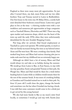England as there were many more job opportunities. So just after I turned three, my dad, mum Edna and my two older brothers Tony and Tommy moved to Luton in Bedfordshire. Our first house in the town was 38 Abbey Drive, a newly built semi-detached three-bedroom council house. Luton was a good place to live at the time  $-$  a thriving market town with a vast workforce and numerous job opportunities at large companies such as Vauxhall Motors, Electrolux and SKF. There was a big open market and numerous shops, which was the heart of the town up until the early 1970s when they were unfortunately demolished for the new Arndale Shopping Centre.

Not long after we arrived, Dad found employment at Vauxhall as a press tool operator. We settled quickly, so much so that our family increased during this time as my beloved sisters Anne and Pat were born. We were a working-class family. Dad worked long hours and Mum had various cleaning jobs just to make ends meet but my childhood was an extremely happy one.

Although we didn't have a lot of money, Mum and Dad would always try and take us on holiday during the summer. We would go from Luton to Rye, in East Sussex, to stay with my step-grandma Annie and grandad Tommy at their pub, the Plough Inn. Mum and Dad would be there for a week before heading back to Luton while us children would remain there for the rest of the summer break. It was more of a working holiday as Grandma and Grandad trained me to work in their pub. So, from 12 years old I could clean the pipes, change the barrels and sometimes run the bar when Grandad was having a break. I was told that some customers would come in for a drink just to get served by this young barman!

We also had more family in Rye as my mum's sister lived locally, so sometimes I would go and stay with Auntie Jean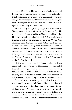and Uncle Tim. Uncle Tim was an extremely clever man and I quickly formed a strong bond with him. He showed me how to fish in the many rivers nearby and taught me how to enjoy living in the country; we would spend many hours roaming the Sussex countryside. He told me I was like a second son to him, right up until the day he passed away.

As our family was growing bigger my eldest brother Tommy went to live with Grandma and Grandad in Rye. He was extremely talented as a child and became head boy at Rye Grammar School before joining the RAF, where he was a telecommunications engineer and served in the Cypriot War of Independence between 1955 until 1959. I was always very close to Tommy, who was a great brother and would always look after me. Whenever he came back for a visit he would take me to watch a football match at either Luton Town or Leicester City. My other brother Tony went into the army and served in the Malayan Emergency until he demobbed in 1960 and joined the local police force in Luton.

My first school was Hart Hill Infant and Juniors. I was academically average but like most boys of that age I just wanted to be outside playing sport. When it was time to leave the juniors, I went to Old Bedford Road Senior School. It had a reputation for being a tough place to go to but I have good memories of this period of my life until my education was cruelly cut short.

On a cold, damp winter's day in 1957, I had an accident which would change my life forever. My dear mother had scrimped and scraped for a long time to save money for my birthday present. Not long after my birthday I was happily riding my bike when disaster struck. I had just cycled through Abbotswood Field, but the tyres must have picked up some mud because as soon as I got back on to the road my back wheel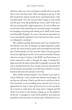slid from under me. I lost my balance and fell off on to my left hip on the rock-hard road. After managing to get up, I still felt shocked but dusted myself down and limped home with wounded pride. Over the next few days I began to feel unwell and the pain in my hip gradually got worse, until I woke up in bed one morning with a high temperature. As soon as Mum saw me she knew that something was seriously wrong. I remember her dropping everything and rushing me to A&E at the Luton and Dunstable Hospital. As soon as the doctor examined me, I was immediately admitted to the ward and was then seen by an orthopaedic consultant.

My condition quickly deteriorated and I was transferred to the intensive care unit. To help get my high temperature under control, the nurses used ice packs and surrounded my bed with fans. Unfortunately, over the next few weeks, I became gravely ill and was fighting for my life. At one point my brother Tommy, who was serving in Cyprus in the RAF, was flown home as I wasn't expected to make it through the night. I continued to fight and with the help of penicillin I gradually recovered. My stay in hospital lasted for four months and tests showed that I had developed osteomyelitis in my left femur, which is a serious bacterial infection that spreads to the bone.

After finally leaving hospital I was allowed to go back to school. However, a few months later disaster struck again. As my hip was still weak, I had to get the bus to and from school. One lunchtime I was travelling home and the bus I was on approached my stop so I got up from my seat on the top deck. As I started to walk down the steep stairs I tripped and fell all the way down to the bottom, ending up on the platform of the bus. I managed to crawl off the platform and ended up sprawled on the pavement in extreme pain. Unbeknown to me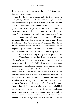I had sustained a triple fracture of the same left femur that I had just recovered from.

Somehow I got up on to my feet and with all my weight on my right leg I started to hop home. I had to hang on to fences and lampposts to keep my balance. If things couldn't get any worse, as I approached home, I fell over the wall into our front garden. I can't remember getting into the house but when Mum came home from work, she found me unconscious on the dining room floor. An ambulance was called and I was rushed to Luton and Dunstable Hospital where they managed to stabilise my condition. However, due to the severity of my injury I was transferred to the Royal National Orthopaedic Hospital in Stanmore for further assessment and the treatment that would hopefully get me back to a normal life. I certainly owe the hospital so much for how I was treated in those early days.

It was one of the leading orthopaedic hospitals in the country. Throughout my time there I was in a ward with boys of a similar age. The majority were long-term patients, with many suffering from polio. While I was there I made some good friends. I remember one occasion when myself and another lad almost got into trouble with the police. After a long time spent in bed, I had finally been able to get up with the aid of crutches, so the two of us decided to get some fresh air and explore our surroundings. We found a hole in the fence and somehow managed to get through to the other side, where we then found ourselves on the property of the London Transport Sports Club. The building was unlocked and we both hobbled on our crutches into the sports hall. Inside we found some archery equipment, so there was nothing else for it and we enjoyed a couple of hours of archery practice. It seems as if we didn't tidy up well enough as a couple of days later the police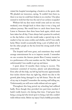visited the hospital investigating a break-in at the sports club. We pleaded our innocence, saying, 'It couldn't have been us, there is no way we could have broken in on crutches.' Our pleas seemed to work but that was the end of our archery escapades!

Without fail my dear mum would come and see me every weekend, even though back in those days it was a long and arduous journey. She would have to catch three buses from Luton to Stanmore then three buses back again, which must have taken her all day. I have always had a passion for seafood, so the day before a visit she would make a special trip to the market to buy me some cockles and whelks, and if I was really lucky Mum would occasionally bring a pot of jellied eels. I bet the other people on the bus loved the strong smell of fish every week.

The hospital staff were great, and sometimes they would arrange entertainment for us to improve morale. I remember on one occasion the famous pianist Russ Conway treated us to a performance of his new number one hit, 'Side Saddle', but unfortunately I was unable to get up and dance.

I spent about 14 months there trying to recover. The treatment consisted of traction, plaster and physiotherapy. Even after all this help, my left leg had become approximately four inches shorter than my right leg, which was due to the growth plate being damaged in my left femur. Near the end of my stay in hospital I remember the nursing staff telling me, 'Unfortunately you will never walk without aid ever again.'

Throughout this long period my schooling had suffered badly. Even though they provided two part-time teachers I hadn't really learnt a lot during that time. I had gone from being a young lad who loved sport to being a lad who couldn't walk without sticks. Before my injury I had a bubbly personality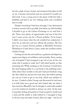### *My Early Years*

but the couple of years of pain and treatment had taken its toll on me. I became introverted and was worried if I would ever find work. I was a young man in the prime of life but with a disability and had to use two walking sticks and a modified shoe to walk.

Despite everything I had been through, I was determined to lead as normal a life as possible. Just before my 16th birthday I decided to go to the Labour Exchange to try and find a job. There were plenty of opportunities and one of the first ones I came across was for a French polisher. To be honest I didn't even know what the job entailed but undeterred, I went for an interview and was offered the position. My first job was as a trainee French polisher at Blundell's Furniture Workshop in Castle Street, Luton, under the excellent tuition of John George.

Getting out into the real world was a godsend and helped me regain some degree of confidence and normality. Since coming out of hospital I had managed to get rid of one of the two sticks that I needed to walk, but I still relied heavily on that remaining aid. While working on the furniture I would leave the stick hanging safely on a coat hook in the polishing room. After about three months in the job I had just finished a long day then tidied up and put the tools away. Just before putting my coat on I went to get to my stick, which was nowhere to be seen. I looked at John George and discovered he had sawn it in half. John was a good man who looked after me when I first started at Blundell's, but he thought I could walk unaided so in his wisdom he decided to destroy my stick. At the time I remember feeling devastated as I had accepted I would need a stick and felt unable to walk without it. I managed to limp to the bus stop and make it home. John was right – the loss of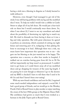having a stick was a blessing in disguise as I slowly learned to walk without it.

However, even though I had managed to get rid of the sticks I was still having problems with my leg and the modified shoe I wore. To help me walk I would visit a cobbler in Castle Street to adapt all of my left shoes. He would put a four-inch sole on them but I would continually wear them down. So, when I was about 22, I went to see my consultant and asked about the possibility of shortening my right leg to match my left. He tried to dissuade me from having it done as it was a big and risky operation. But with great reluctance he agreed to perform an osteotomy, which consisted of cutting my right femur and removing part of it, realigning it then plating the bone to encourage it to heal. Although there was a risk, my mum knew how important this operation was to me – she gave me her blessing as she just wanted me to be happy. The operation was a success, so after four weeks in hospital, I walked out on crutches having gone from 6ft 1in to 5ft 9in tall but importantly my limp wasn't as pronounced. I couldn't wait to get home so I could throw away all of my modified shoes and go shopping for trousers of the same leg length. I am paying for it now though as whenever I go to the doctors and my BMI is checked I have to tell them that I used to be 6ft 1in and that I haven't been over-eating!

With my new-found confidence and zest for life, I regained some much-needed independence and enjoyed a social life. I had a good group of friends, and we would go to the Monkey Puzzle Club in Round Green to play snooker or enjoy watching the cream of the best 1960s groups at the Majestic Dance Hall. My confidence had grown so much that I even worked as a barman in the Jolly Topers pub in Round Green.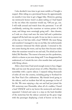I also decided it was time to get more mobile so I bought a moped. After riding on a provisional licence for approximately six months it was time to get a bigger bike. However, gaining my motorcycle licence wasn't as plain-sailing as I had hoped in the era when the examiner would say, 'Off you go, son. I will walk around and watch from the pavement.' I set off confidently, noticing the examiner at various points of the route, and things were seemingly going well – then disaster, as I rode on a busy road near the town hall and a pedestrian stepped off the kerb into my path. It was too late to swerve out of the way so I hit him with a loud 'THUD'. He went flying and somehow I managed to stay on my bike, but unfortunately the examiner witnessed the whole episode. I returned to the test centre fearing the worst, and my fears then became reality when the examiner turned to me and said, 'I'm afraid you have failed, Mr Sheridan. The reason is because you hit a pedestrian, which is a shame as you were doing well.' I was disappointed but understood, so I retook the test a few months later and passed with flying colours.

After a short time I had saved enough money to buy a bigger bike and was now the proud owner of a 650cc Matchless twin motorbike with a sports sidecar. I enjoyed riding thousands of miles all over the country, including going to Scotland for the New Year's Eve celebrations. My friends loved going in the sidecar, until an incident that left my passenger in fear of his life. We were enjoying a day out and had just joined the M1 motorway near Dunstable, when all of a sudden, I heard a loud 'CRACK' and to my horror the motorcycle and sidecar separated. I slowed and came to a stop on the hard shoulder of the motorway but the sidecar careered up the grass verge with the passenger displaying a look of horror on his face.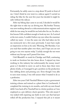Fortunately, he safely came to a stop about 50 yards in front of me. I don't think he ever went in a sidecar again! I carried on riding the bike for the next few years but decided it might be safer without the sidecar.

After my biking days came to an end, I decided it would be the right time to take my car driving test. My brother Tommy was now working abroad as a telecommunications engineer and while he was away, he would let me look after his car. So after a few lessons I felt confident enough to book my test. As I arrived at the test centre, I couldn't believe my eyes when the examiner called my name – it was the same one who had taken me for my motorcycle test a few years previously. I must have made an impression on him as he said, 'Morning, Mr Sheridan. Can you read that number plate over there, and I hope you are not going to run over anyone today.' Luckily enough the test went without any hiccups and I passed first time.

I left Blundell's to work for Claridge and Hall, continuing to work on furniture but also house décor. I enjoyed my time working in this industry but unfortunately the money wasn't great so I decided to move on and in those days there were plenty of jobs, so I managed to get a position on the production line rubbing down and priming cars. Even though I was able to earn more money, I was still unsure what I wanted to do as a profession.

After two years I left Vauxhall Motors to join a government training scheme and trained as a plant fitter in Letchworth. I completed the training in six months, and with my new-found skills I was back off to Vauxhall but in a better position as I was employed as a pre-delivery check operative. This role meant I was tasked with repairing any faults in new cars that had just rolled off the production line. I enjoyed this job as it meant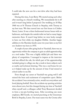I could take the new cars for a test drive after they had been repaired.

During this time, I met Betty. We started seeing each other after meeting at a friend's wedding. We immediately hit it off and it wasn't long before I proposed. Our wedding on 18 May 1968 was at St Thomas Church in Stopsley, with Tommy as my best man. We then moved into our first house in Cobden Street, Luton. It was a three-bedroomed terrace house with no bathroom, and despite the outside toilet we had so many happy memories there. It wasn't long before we were lucky enough to have our first child, my daughter Debbie. Another happy addition to the Sheridan family came two years later as my first son Andrew was born in 1970.

A couple of years after going back to Vauxhall, there was an opportunity within the company to gain an adult apprenticeship as a tool maker. This was a highly skilled job and there was plenty of competition. I managed to impress at the interview and was offered the role, for which part of the apprenticeship included going to college one day a week to learn subjects such as maths and technical drawing. This was a real bonus for me as it helped make up for the amount of time I had missed at school earlier in my life.

Even though my career at Vauxhall was going well I still missed the buzz and excitement of competitive sport. Before the accidents I was extremely active, would run everywhere and loved playing football. Since the accidents my sporting activities were almost zero, but this changed during my time at Vauxhall when myself and a colleague called Tony Beaumont decided to form a ten-pin bowling team. After recruiting one more employee, Bill Gentle, we started practising at the Greenways Bowl in Stopsley, Luton. Our team name was the Crestas after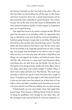the famous Vauxhall car that was built at the plant. This was the time when ten-pin bowling was all the rage, so after hours and hours of practice there was a steady improvement and we discovered the team could play to a good standard. The Crestas became one of the most successful teams in Bedfordshire and won numerous trophies; finally, I could compete in competitive sport on an equal footing.

One night that sticks in my mind is a league decider. We had gone into the game in second place while our opponents were top, so whichever team won would be crowned champions. I had been going through a tough time as my father Thomas had been ill for a few months with terminal lung cancer. Two days before the final match he had taken a turn for the worse and I sat by his bedside as he tragically passed away at such a young age. Our family were devastated as we tried to come to terms with our loss, so I took some time off work to help Mum sort things out and support my brothers and beloved sisters Anne and Pat. My mind was in a daze and I had forgotten about everything else; my only focus was the family. On the day of the match I was sitting at home on the sofa when Mum said to me, 'John, what about your match tonight?' I replied, 'Mum, I don't want to play and leave you.' She told me, 'You need to go and play, it will do you good to leave the house for a couple of hours.' I decided to go but that night is still a blur and all I know is that my two mates must have played out of their skin as I was still in a daze and didn't contribute much. Somehow we won by a few pins and I'm sure Dad was looking over me that evening.

Unfortunately my two team-mates from that night have passed away. Tony became a lifelong friend; I had the honour of being his godfather even though he was older than me! He arranged to get married before he had been baptised so a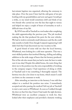### *My Early Years*

last-minute baptism was organised, allowing the ceremony to take place. Over the years I have had the odd game of ten-pin bowling with my grandchildren and now and again I would get a strike, so my mind would sometimes drift and think of my two friends who carried me over the line that night to victory and helped me enjoy a couple of hours of normality at such a difficult time of my life.

By 1974 I was still at Vauxhall as a tool maker after completing the adult apprenticeship the previous year. The job involved making the die that produced the parts for the new vehicles. We had to work to extremely small tolerances and the die could take months to build. Even though I enjoyed engineering I still didn't feel that I had discovered my true vocation in life.

A good friend of mine told me that the local brewery, Whitbread, were looking for a cold store operative. This was a semi-skilled position that involved filtering, chilling and adding additives to the wide range of beers that the brewery produced. Part of the role also meant that you had to taste the beer to make sure it was okay! Despite this added bonus, the main thing that drew me to the position was the extra responsibility of working in the company surgery. I had experience of doing so while at Vauxhall and it was something I thoroughly enjoyed. The brewery was also a lot closer to my home, which meant I could cut down on the commute to work.

After attending an interview at the brewery I was told that subject to a medical the position was mine. I immediately accepted and after passing the medical I left my job at Vauxhall to start a new career at Whitbread. As soon as I walked through the door on that first day, I knew I had made the right decision. Whitbread were an excellent company to work for; they looked after their employees and provided a fantastic working